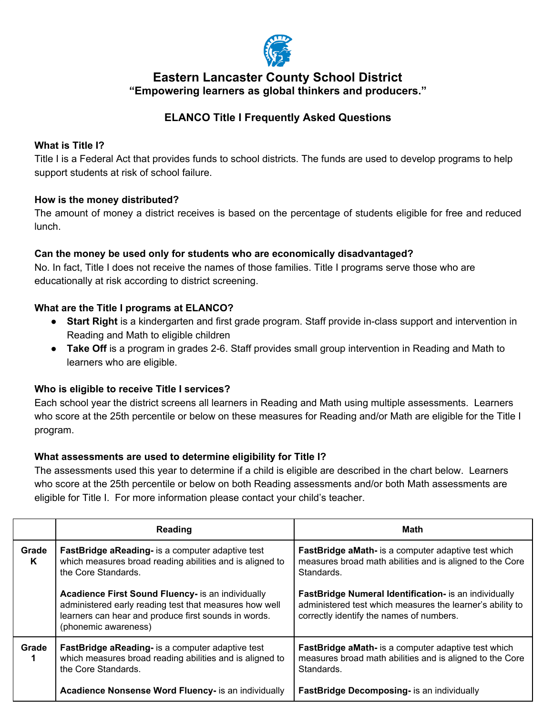

## **Eastern Lancaster County School District "Empowering learners as global thinkers and producers."**

# **ELANCO Title I Frequently Asked Questions**

### **What is Title I?**

Title I is a Federal Act that provides funds to school districts. The funds are used to develop programs to help support students at risk of school failure.

#### **How is the money distributed?**

The amount of money a district receives is based on the percentage of students eligible for free and reduced lunch.

#### **Can the money be used only for students who are economically disadvantaged?**

No. In fact, Title I does not receive the names of those families. Title I programs serve those who are educationally at risk according to district screening.

#### **What are the Title I programs at ELANCO?**

- **Start Right** is a kindergarten and first grade program. Staff provide in-class support and intervention in Reading and Math to eligible children
- **Take Off** is a program in grades 2-6. Staff provides small group intervention in Reading and Math to learners who are eligible.

#### **Who is eligible to receive Title I services?**

Each school year the district screens all learners in Reading and Math using multiple assessments. Learners who score at the 25th percentile or below on these measures for Reading and/or Math are eligible for the Title I program.

#### **What assessments are used to determine eligibility for Title I?**

The assessments used this year to determine if a child is eligible are described in the chart below. Learners who score at the 25th percentile or below on both Reading assessments and/or both Math assessments are eligible for Title I. For more information please contact your child's teacher.

|            | Reading                                                                                                                                                                                     | Math                                                                                                                                                           |
|------------|---------------------------------------------------------------------------------------------------------------------------------------------------------------------------------------------|----------------------------------------------------------------------------------------------------------------------------------------------------------------|
| Grade<br>K | <b>FastBridge aReading-</b> is a computer adaptive test<br>which measures broad reading abilities and is aligned to<br>the Core Standards.                                                  | <b>FastBridge aMath-</b> is a computer adaptive test which<br>measures broad math abilities and is aligned to the Core<br>Standards.                           |
|            | Acadience First Sound Fluency- is an individually<br>administered early reading test that measures how well<br>learners can hear and produce first sounds in words.<br>(phonemic awareness) | FastBridge Numeral Identification- is an individually<br>administered test which measures the learner's ability to<br>correctly identify the names of numbers. |
| Grade      | FastBridge aReading- is a computer adaptive test<br>which measures broad reading abilities and is aligned to<br>the Core Standards.                                                         | <b>FastBridge aMath-</b> is a computer adaptive test which<br>measures broad math abilities and is aligned to the Core<br>Standards.                           |
|            | Acadience Nonsense Word Fluency- is an individually                                                                                                                                         | <b>FastBridge Decomposing-</b> is an individually                                                                                                              |